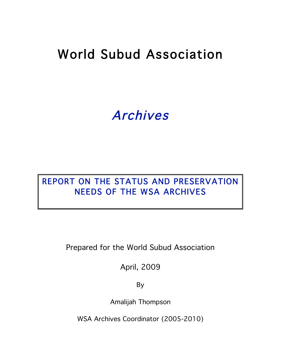# World Subud Association

# Archives

## REPORT ON THE STATUS AND PRESERVATION NEEDS OF THE WSA ARCHIVES

Prepared for the World Subud Association

April, 2009

By

Amalijah Thompson

WSA Archives Coordinator (2005-2010)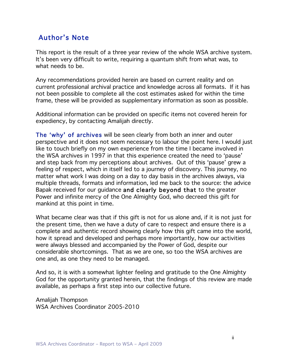### Author's Note

This report is the result of a three year review of the whole WSA archive system. It's been very difficult to write, requiring a quantum shift from what was, to what needs to be.

Any recommendations provided herein are based on current reality and on current professional archival practice and knowledge across all formats. If it has not been possible to complete all the cost estimates asked for within the time frame, these will be provided as supplementary information as soon as possible.

Additional information can be provided on specific items not covered herein for expediency, by contacting Amalijah directly.

The 'why' of archives will be seen clearly from both an inner and outer perspective and it does not seem necessary to labour the point here. I would just like to touch briefly on my own experience from the time I became involved in the WSA archives in 1997 in that this experience created the need to 'pause' and step back from my perceptions about archives. Out of this 'pause' grew a feeling of respect, which in itself led to a journey of discovery. This journey, no matter what work I was doing on a day to day basis in the archives always, via multiple threads, formats and information, led me back to the source: the advice Bapak received for our guidance and clearly beyond that to the greater Power and infinite mercy of the One Almighty God, who decreed this gift for mankind at this point in time.

What became clear was that if this gift is not for us alone and, if it is not just for the present time, then we have a duty of care to respect and ensure there is a complete and authentic record showing clearly how this gift came into the world, how it spread and developed and perhaps more importantly, how our activities were always blessed and accompanied by the Power of God, despite our considerable shortcomings. That as we are one, so too the WSA archives are one and, as one they need to be managed.

And so, it is with a somewhat lighter feeling and gratitude to the One Almighty God for the opportunity granted herein, that the findings of this review are made available, as perhaps a first step into our collective future.

Amalijah Thompson WSA Archives Coordinator 2005-2010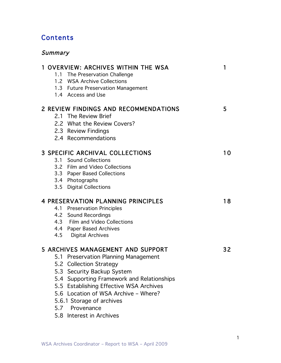### **Contents**

| Summary |                                                                                                                                                                                                                                                                                                                              |    |  |  |  |
|---------|------------------------------------------------------------------------------------------------------------------------------------------------------------------------------------------------------------------------------------------------------------------------------------------------------------------------------|----|--|--|--|
|         | <b>OVERVIEW: ARCHIVES WITHIN THE WSA</b><br>1.1 The Preservation Challenge<br>1.2 WSA Archive Collections<br>1.3 Future Preservation Management<br>1.4 Access and Use                                                                                                                                                        | 1  |  |  |  |
|         | <b>2 REVIEW FINDINGS AND RECOMMENDATIONS</b><br>2.1 The Review Brief<br>2.2 What the Review Covers?<br>2.3 Review Findings<br>2.4 Recommendations                                                                                                                                                                            | 5  |  |  |  |
|         | <b>3 SPECIFIC ARCHIVAL COLLECTIONS</b><br>3.1 Sound Collections<br>3.2 Film and Video Collections<br>3.3 Paper Based Collections<br>3.4 Photographs<br>3.5<br><b>Digital Collections</b>                                                                                                                                     | 10 |  |  |  |
|         | <b>4 PRESERVATION PLANNING PRINCIPLES</b><br>4.1 Preservation Principles<br>4.2 Sound Recordings<br>4.3 Film and Video Collections<br>4.4 Paper Based Archives<br>4.5 Digital Archives                                                                                                                                       | 18 |  |  |  |
|         | <b>5 ARCHIVES MANAGEMENT AND SUPPORT</b><br>5.1 Preservation Planning Management<br>5.2 Collection Strategy<br>5.3 Security Backup System<br>5.4 Supporting Framework and Relationships<br>5.5 Establishing Effective WSA Archives<br>5.6 Location of WSA Archive - Where?<br>5.6.1 Storage of archives<br>Provenance<br>5.7 | 32 |  |  |  |

5.8 Interest in Archives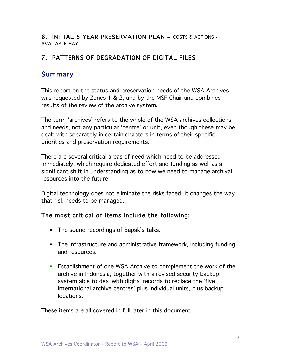#### 6. INITIAL 5 YEAR PRESERVATION PLAN – COSTS & ACTIONS - AVAILABLE MAY

#### 7. PATTERNS OF DEGRADATION OF DIGITAL FILES

### Summary

This report on the status and preservation needs of the WSA Archives was requested by Zones 1 & 2, and by the MSF Chair and combines results of the review of the archive system.

The term 'archives' refers to the whole of the WSA archives collections and needs, not any particular 'centre' or unit, even though these may be dealt with separately in certain chapters in terms of their specific priorities and preservation requirements.

There are several critical areas of need which need to be addressed immediately, which require dedicated effort and funding as well as a significant shift in understanding as to how we need to manage archival resources into the future.

Digital technology does not eliminate the risks faced, it changes the way that risk needs to be managed.

#### The most critical of items include the following:

- **The sound recordings of Bapak's talks.**
- The infrastructure and administrative framework, including funding and resources.
- **Establishment of one WSA Archive to complement the work of the** archive in Indonesia, together with a revised security backup system able to deal with digital records to replace the 'five international archive centres' plus individual units, plus backup locations.

These items are all covered in full later in this document.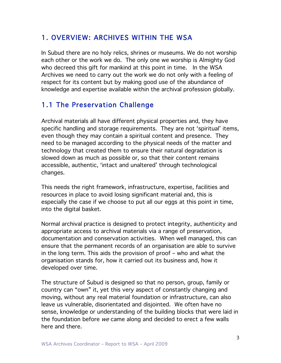### 1. OVERVIEW: ARCHIVES WITHIN THE WSA

In Subud there are no holy relics, shrines or museums. We do not worship each other or the work we do. The only one we worship is Almighty God who decreed this gift for mankind at this point in time. In the WSA Archives we need to carry out the work we do not only with a feeling of respect for its content but by making good use of the abundance of knowledge and expertise available within the archival profession globally.

### 1.1 The Preservation Challenge

Archival materials all have different physical properties and, they have specific handling and storage requirements. They are not 'spiritual' items, even though they may contain a spiritual content and presence. They need to be managed according to the physical needs of the matter and technology that created them to ensure their natural degradation is slowed down as much as possible or, so that their content remains accessible, authentic, 'intact and unaltered' through technological changes.

This needs the right framework, infrastructure, expertise, facilities and resources in place to avoid losing significant material and, this is especially the case if we choose to put all our eggs at this point in time, into the digital basket.

Normal archival practice is designed to protect integrity, authenticity and appropriate access to archival materials via a range of preservation, documentation and conservation activities. When well managed, this can ensure that the permanent records of an organisation are able to survive in the long term. This aids the provision of proof – who and what the organisation stands for, how it carried out its business and, how it developed over time.

The structure of Subud is designed so that no person, group, family or country can "own" it, yet this very aspect of constantly changing and moving, without any real material foundation or infrastructure, can also leave us vulnerable, disorientated and disjointed. We often have no sense, knowledge or understanding of the building blocks that were laid in the foundation before we came along and decided to erect a few walls here and there.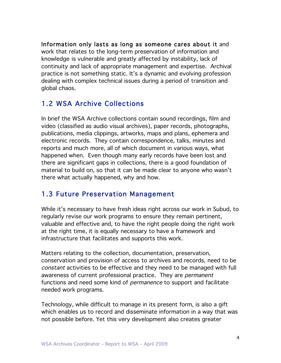Information only lasts as long as someone cares about it and work that relates to the long-term preservation of information and knowledge is vulnerable and greatly affected by instability, lack of continuity and lack of appropriate management and expertise. Archival practice is not something static. It's a dynamic and evolving profession dealing with complex technical issues during a period of transition and global chaos.

### 1.2 WSA Archive Collections

In brief the WSA Archive collections contain sound recordings, film and video (classified as audio visual archives), paper records, photographs, publications, media clippings, artworks, maps and plans, ephemera and electronic records. They contain correspondence, talks, minutes and reports and much more, all of which document in various ways, what happened when. Even though many early records have been lost and there are significant gaps in collections, there is a good foundation of material to build on, so that it can be made clear to anyone who wasn't there what actually happened, why and how.

### 1.3 Future Preservation Management

While it's necessary to have fresh ideas right across our work in Subud, to regularly revise our work programs to ensure they remain pertinent, valuable and effective and, to have the right people doing the right work at the right time, it is equally necessary to have a framework and infrastructure that facilitates and supports this work.

Matters relating to the collection, documentation, preservation, conservation and provision of access to archives and records, need to be constant activities to be effective and they need to be managed with full awareness of current professional practice. They are *permanent* functions and need some kind of *permanence* to support and facilitate needed work programs.

Technology, while difficult to manage in its present form, is also a gift which enables us to record and disseminate information in a way that was not possible before. Yet this very development also creates greater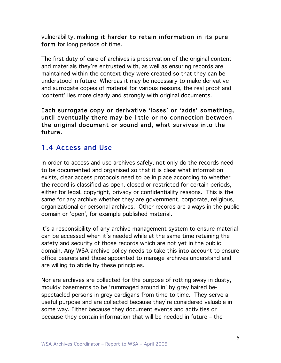vulnerability, making it harder to retain information in its pure form for long periods of time.

The first duty of care of archives is preservation of the original content and materials they're entrusted with, as well as ensuring records are maintained within the context they were created so that they can be understood in future. Whereas it may be necessary to make derivative and surrogate copies of material for various reasons, the real proof and 'content' lies more clearly and strongly with original documents.

Each surrogate copy or derivative 'loses' or 'adds' something, until eventually there may be little or no connection between the original document or sound and, what survives into the future.

### 1.4 Access and Use

In order to access and use archives safely, not only do the records need to be documented and organised so that it is clear what information exists, clear access protocols need to be in place according to whether the record is classified as open, closed or restricted for certain periods, either for legal, copyright, privacy or confidentiality reasons. This is the same for any archive whether they are government, corporate, religious, organizational or personal archives. Other records are always in the public domain or 'open', for example published material.

It's a responsibility of any archive management system to ensure material can be accessed when it's needed while at the same time retaining the safety and security of those records which are not yet in the public domain. Any WSA archive policy needs to take this into account to ensure office bearers and those appointed to manage archives understand and are willing to abide by these principles.

Nor are archives are collected for the purpose of rotting away in dusty, mouldy basements to be 'rummaged around in' by grey haired bespectacled persons in grey cardigans from time to time. They serve a useful purpose and are collected because they're considered valuable in some way. Either because they document events and activities or because they contain information that will be needed in future – the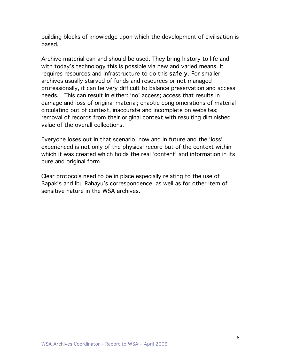building blocks of knowledge upon which the development of civilisation is based.

Archive material can and should be used. They bring history to life and with today's technology this is possible via new and varied means. It requires resources and infrastructure to do this safely. For smaller archives usually starved of funds and resources or not managed professionally, it can be very difficult to balance preservation and access needs. This can result in either: 'no' access; access that results in damage and loss of original material; chaotic conglomerations of material circulating out of context, inaccurate and incomplete on websites; removal of records from their original context with resulting diminished value of the overall collections.

Everyone loses out in that scenario, now and in future and the 'loss' experienced is not only of the physical record but of the context within which it was created which holds the real 'content' and information in its pure and original form.

Clear protocols need to be in place especially relating to the use of Bapak's and Ibu Rahayu's correspondence, as well as for other item of sensitive nature in the WSA archives.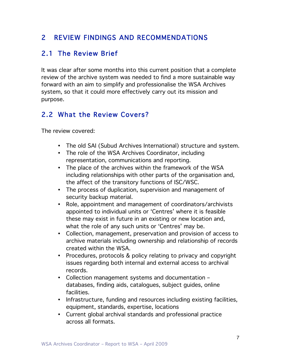### 2 REVIEW FINDINGS AND RECOMMENDATIONS

### 2.1 The Review Brief

It was clear after some months into this current position that a complete review of the archive system was needed to find a more sustainable way forward with an aim to simplify and professionalise the WSA Archives system, so that it could more effectively carry out its mission and purpose.

### 2.2 What the Review Covers?

The review covered:

- The old SAI (Subud Archives International) structure and system.
- The role of the WSA Archives Coordinator, including representation, communications and reporting.
- The place of the archives within the framework of the WSA including relationships with other parts of the organisation and, the affect of the transitory functions of ISC/WSC.
- The process of duplication, supervision and management of security backup material.
- Role, appointment and management of coordinators/archivists appointed to individual units or 'Centres' where it is feasible these may exist in future in an existing or new location and, what the role of any such units or 'Centres' may be.
- Collection, management, preservation and provision of access to archive materials including ownership and relationship of records created within the WSA.
- Procedures, protocols & policy relating to privacy and copyright issues regarding both internal and external access to archival records.
- Collection management systems and documentation databases, finding aids, catalogues, subject guides, online facilities.
- Infrastructure, funding and resources including existing facilities, equipment, standards, expertise, locations
- Current global archival standards and professional practice across all formats.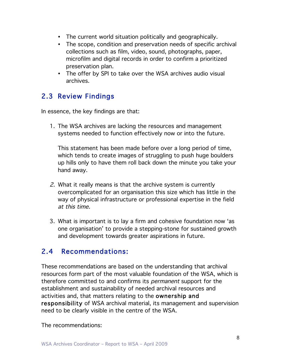- The current world situation politically and geographically.
- The scope, condition and preservation needs of specific archival collections such as film, video, sound, photographs, paper, microfilm and digital records in order to confirm a prioritized preservation plan.
- The offer by SPI to take over the WSA archives audio visual archives.

### 2.3 Review Findings

In essence, the key findings are that:

1. The WSA archives are lacking the resources and management systems needed to function effectively now or into the future.

This statement has been made before over a long period of time, which tends to create images of struggling to push huge boulders up hills only to have them roll back down the minute you take your hand away.

- 2. What it really means is that the archive system is currently overcomplicated for an organisation this size which has little in the way of physical infrastructure or professional expertise in the field at this time.
- 3. What is important is to lay a firm and cohesive foundation now 'as one organisation' to provide a stepping-stone for sustained growth and development towards greater aspirations in future.

### 2.4 Recommendations:

These recommendations are based on the understanding that archival resources form part of the most valuable foundation of the WSA, which is therefore committed to and confirms its *permanent* support for the establishment and sustainability of needed archival resources and activities and, that matters relating to the ownership and responsibility of WSA archival material, its management and supervision need to be clearly visible in the centre of the WSA.

The recommendations: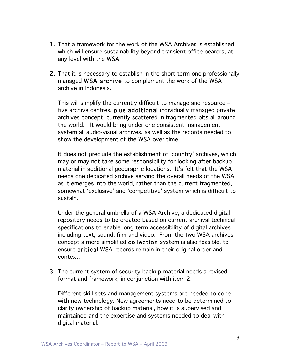- 1. That a framework for the work of the WSA Archives is established which will ensure sustainability beyond transient office bearers, at any level with the WSA.
- 2. That it is necessary to establish in the short term one professionally managed WSA archive to complement the work of the WSA archive in Indonesia.

This will simplify the currently difficult to manage and resource – five archive centres, plus additional individually managed private archives concept, currently scattered in fragmented bits all around the world. It would bring under one consistent management system all audio-visual archives, as well as the records needed to show the development of the WSA over time.

It does not preclude the establishment of 'country' archives, which may or may not take some responsibility for looking after backup material in additional geographic locations. It's felt that the WSA needs one dedicated archive serving the overall needs of the WSA as it emerges into the world, rather than the current fragmented, somewhat 'exclusive' and 'competitive' system which is difficult to sustain.

Under the general umbrella of a WSA Archive, a dedicated digital repository needs to be created based on current archival technical specifications to enable long term accessibility of digital archives including text, sound, film and video. From the two WSA archives concept a more simplified collection system is also feasible, to ensure critical WSA records remain in their original order and context.

3. The current system of security backup material needs a revised format and framework, in conjunction with item 2.

Different skill sets and management systems are needed to cope with new technology. New agreements need to be determined to clarify ownership of backup material, how it is supervised and maintained and the expertise and systems needed to deal with digital material.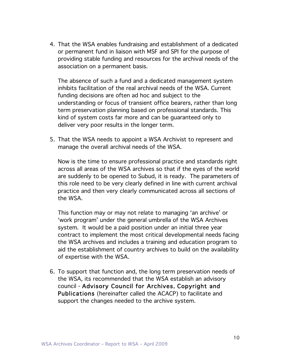4. That the WSA enables fundraising and establishment of a dedicated or permanent fund in liaison with MSF and SPI for the purpose of providing stable funding and resources for the archival needs of the association on a permanent basis.

The absence of such a fund and a dedicated management system inhibits facilitation of the real archival needs of the WSA. Current funding decisions are often ad hoc and subject to the understanding or focus of transient office bearers, rather than long term preservation planning based on professional standards. This kind of system costs far more and can be guaranteed only to deliver very poor results in the longer term.

5. That the WSA needs to appoint a WSA Archivist to represent and manage the overall archival needs of the WSA.

Now is the time to ensure professional practice and standards right across all areas of the WSA archives so that if the eyes of the world are suddenly to be opened to Subud, it is ready. The parameters of this role need to be very clearly defined in line with current archival practice and then very clearly communicated across all sections of the WSA.

This function may or may not relate to managing 'an archive' or 'work program' under the general umbrella of the WSA Archives system. It would be a paid position under an initial three year contract to implement the most critical developmental needs facing the WSA archives and includes a training and education program to aid the establishment of country archives to build on the availability of expertise with the WSA.

6. To support that function and, the long term preservation needs of the WSA, its recommended that the WSA establish an advisory council - Advisory Council for Archives, Copyright and Publications (hereinafter called the ACACP) to facilitate and support the changes needed to the archive system.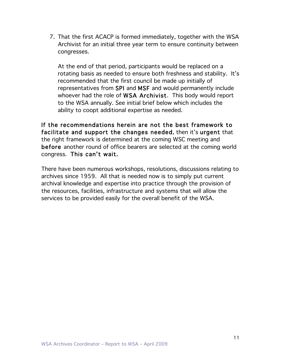7. That the first ACACP is formed immediately, together with the WSA Archivist for an initial three year term to ensure continuity between congresses.

At the end of that period, participants would be replaced on a rotating basis as needed to ensure both freshness and stability. It's recommended that the first council be made up initially of representatives from SPI and MSF and would permanently include whoever had the role of **WSA Archivist**. This body would report to the WSA annually. See initial brief below which includes the ability to coopt additional expertise as needed.

If the recommendations herein are not the best framework to facilitate and support the changes needed, then it's urgent that the right framework is determined at the coming WSC meeting and before another round of office bearers are selected at the coming world congress. This can't wait.

There have been numerous workshops, resolutions, discussions relating to archives since 1959. All that is needed now is to simply put current archival knowledge and expertise into practice through the provision of the resources, facilities, infrastructure and systems that will allow the services to be provided easily for the overall benefit of the WSA.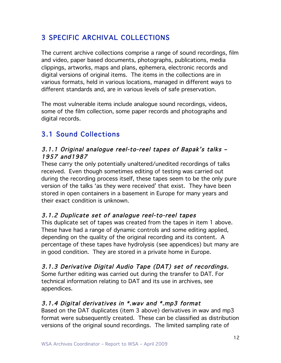### 3 SPECIFIC ARCHIVAL COLLECTIONS

The current archive collections comprise a range of sound recordings, film and video, paper based documents, photographs, publications, media clippings, artworks, maps and plans, ephemera, electronic records and digital versions of original items. The items in the collections are in various formats, held in various locations, managed in different ways to different standards and, are in various levels of safe preservation.

The most vulnerable items include analogue sound recordings, videos, some of the film collection, some paper records and photographs and digital records.

### 3.1 Sound Collections

#### 3.1.1 Original analogue reel-to-reel tapes of Bapak's talks – 1957 and1987

These carry the only potentially unaltered/unedited recordings of talks received. Even though sometimes editing of testing was carried out during the recording process itself, these tapes seem to be the only pure version of the talks 'as they were received' that exist. They have been stored in open containers in a basement in Europe for many years and their exact condition is unknown.

#### 3.1.2 Duplicate set of analogue reel-to-reel tapes

This duplicate set of tapes was created from the tapes in item 1 above. These have had a range of dynamic controls and some editing applied, depending on the quality of the original recording and its content. A percentage of these tapes have hydrolysis (see appendices) but many are in good condition. They are stored in a private home in Europe.

#### 3.1.3 Derivative Digital Audio Tape (DAT) set of recordings.

Some further editing was carried out during the transfer to DAT. For technical information relating to DAT and its use in archives, see appendices.

#### 3.1.4 Digital derivatives in \*.wav and \*.mp3 format

Based on the DAT duplicates (item 3 above) derivatives in wav and mp3 format were subsequently created. These can be classified as distribution versions of the original sound recordings. The limited sampling rate of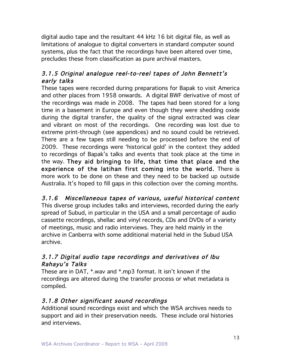digital audio tape and the resultant 44 kHz 16 bit digital file, as well as limitations of analogue to digital converters in standard computer sound systems, plus the fact that the recordings have been altered over time, precludes these from classification as pure archival masters.

#### 3.1.5 Original analogue reel-to-reel tapes of John Bennett's early talks

These tapes were recorded during preparations for Bapak to visit America and other places from 1958 onwards. A digital BWF derivative of most of the recordings was made in 2008. The tapes had been stored for a long time in a basement in Europe and even though they were shedding oxide during the digital transfer, the quality of the signal extracted was clear and vibrant on most of the recordings. One recording was lost due to extreme print-through (see appendices) and no sound could be retrieved. There are a few tapes still needing to be processed before the end of 2009. These recordings were 'historical gold' in the context they added to recordings of Bapak's talks and events that took place at the time in the way. They aid bringing to life, that time that place and the experience of the latihan first coming into the world. There is more work to be done on these and they need to be backed up outside Australia. It's hoped to fill gaps in this collection over the coming months.

#### 3.1.6 Miscellaneous tapes of various, useful historical content This diverse group includes talks and interviews, recorded during the early spread of Subud, in particular in the USA and a small percentage of audio cassette recordings, shellac and vinyl records, CDs and DVDs of a variety of meetings, music and radio interviews. They are held mainly in the archive in Canberra with some additional material held in the Subud USA archive.

#### 3.1.7 Digital audio tape recordings and derivatives of Ibu Rahayu's Talks

These are in DAT, \*.wav and \*.mp3 format. It isn't known if the recordings are altered during the transfer process or what metadata is compiled.

#### 3.1.8 Other significant sound recordings

Additional sound recordings exist and which the WSA archives needs to support and aid in their preservation needs. These include oral histories and interviews.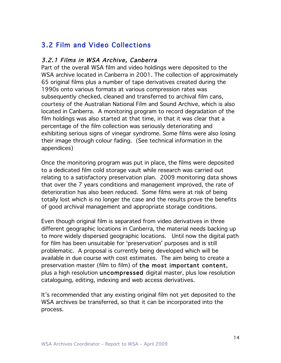### 3.2 Film and Video Collections

#### 3.2.1 Films in WSA Archive, Canberra

Part of the overall WSA film and video holdings were deposited to the WSA archive located in Canberra in 2001. The collection of approximately 65 original films plus a number of tape derivatives created during the 1990s onto various formats at various compression rates was subsequently checked, cleaned and transferred to archival film cans, courtesy of the Australian National Film and Sound Archive, which is also located in Canberra. A monitoring program to record degradation of the film holdings was also started at that time, in that it was clear that a percentage of the film collection was seriously deteriorating and exhibiting serious signs of vinegar syndrome. Some films were also losing their image through colour fading. (See technical information in the appendices)

Once the monitoring program was put in place, the films were deposited to a dedicated film cold storage vault while research was carried out relating to a satisfactory preservation plan. 2009 monitoring data shows that over the 7 years conditions and management improved, the rate of deterioration has also been reduced. Some films were at risk of being totally lost which is no longer the case and the results prove the benefits of good archival management and appropriate storage conditions.

Even though original film is separated from video derivatives in three different geographic locations in Canberra, the material needs backing up to more widely dispersed geographic locations. Until now the digital path for film has been unsuitable for 'preservation' purposes and is still problematic. A proposal is currently being developed which will be available in due course with cost estimates. The aim being to create a preservation master (film to film) of the most important content, plus a high resolution uncompressed digital master, plus low resolution cataloguing, editing, indexing and web access derivatives.

It's recommended that any existing original film not yet deposited to the WSA archives be transferred, so that it can be incorporated into the process.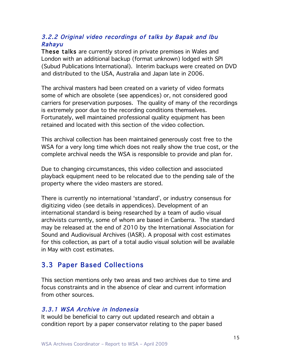#### 3.2.2 Original video recordings of talks by Bapak and Ibu Rahayu

These talks are currently stored in private premises in Wales and London with an additional backup (format unknown) lodged with SPI (Subud Publications International). Interim backups were created on DVD and distributed to the USA, Australia and Japan late in 2006.

The archival masters had been created on a variety of video formats some of which are obsolete (see appendices) or, not considered good carriers for preservation purposes. The quality of many of the recordings is extremely poor due to the recording conditions themselves. Fortunately, well maintained professional quality equipment has been retained and located with this section of the video collection.

This archival collection has been maintained generously cost free to the WSA for a very long time which does not really show the true cost, or the complete archival needs the WSA is responsible to provide and plan for.

Due to changing circumstances, this video collection and associated playback equipment need to be relocated due to the pending sale of the property where the video masters are stored.

There is currently no international 'standard', or industry consensus for digitizing video (see details in appendices). Development of an international standard is being researched by a team of audio visual archivists currently, some of whom are based in Canberra. The standard may be released at the end of 2010 by the International Association for Sound and Audiovisual Archives (IASR). A proposal with cost estimates for this collection, as part of a total audio visual solution will be available in May with cost estimates.

### 3.3 Paper Based Collections

This section mentions only two areas and two archives due to time and focus constraints and in the absence of clear and current information from other sources.

#### 3.3.1 WSA Archive in Indonesia

It would be beneficial to carry out updated research and obtain a condition report by a paper conservator relating to the paper based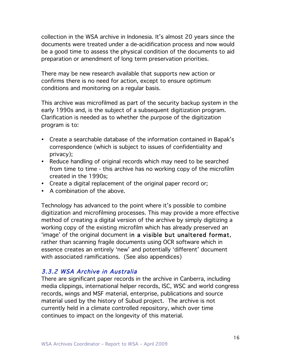collection in the WSA archive in Indonesia. It's almost 20 years since the documents were treated under a de-acidification process and now would be a good time to assess the physical condition of the documents to aid preparation or amendment of long term preservation priorities.

There may be new research available that supports new action or confirms there is no need for action, except to ensure optimum conditions and monitoring on a regular basis.

This archive was microfilmed as part of the security backup system in the early 1990s and, is the subject of a subsequent digitization program. Clarification is needed as to whether the purpose of the digitization program is to:

- Create a searchable database of the information contained in Bapak's correspondence (which is subject to issues of confidentiality and privacy);
- Reduce handling of original records which may need to be searched from time to time - this archive has no working copy of the microfilm created in the 1990s;
- Create a digital replacement of the original paper record or;
- A combination of the above.

Technology has advanced to the point where it's possible to combine digitization and microfilming processes. This may provide a more effective method of creating a digital version of the archive by simply digitizing a working copy of the existing microfilm which has already preserved an 'image' of the original document in a visible but unaltered format, rather than scanning fragile documents using OCR software which in essence creates an entirely 'new' and potentially 'different' document with associated ramifications. (See also appendices)

#### 3.3.2 WSA Archive in Australia

There are significant paper records in the archive in Canberra, including media clippings, international helper records, ISC, WSC and world congress records, wings and MSF material, enterprise, publications and source material used by the history of Subud project. The archive is not currently held in a climate controlled repository, which over time continues to impact on the longevity of this material.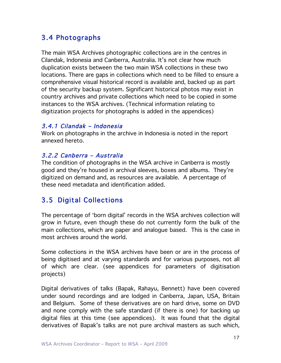### 3.4 Photographs

The main WSA Archives photographic collections are in the centres in Cilandak, Indonesia and Canberra, Australia. It's not clear how much duplication exists between the two main WSA collections in these two locations. There are gaps in collections which need to be filled to ensure a comprehensive visual historical record is available and, backed up as part of the security backup system. Significant historical photos may exist in country archives and private collections which need to be copied in some instances to the WSA archives. (Technical information relating to digitization projects for photographs is added in the appendices)

#### 3.4.1 Cilandak – Indonesia

Work on photographs in the archive in Indonesia is noted in the report annexed hereto.

#### 3.2.2 Canberra – Australia

The condition of photographs in the WSA archive in Canberra is mostly good and they're housed in archival sleeves, boxes and albums. They're digitized on demand and, as resources are available. A percentage of these need metadata and identification added.

### 3.5 Digital Collections

The percentage of 'born digital' records in the WSA archives collection will grow in future, even though these do not currently form the bulk of the main collections, which are paper and analogue based. This is the case in most archives around the world.

Some collections in the WSA archives have been or are in the process of being digitised and at varying standards and for various purposes, not all of which are clear. (see appendices for parameters of digitisation projects)

Digital derivatives of talks (Bapak, Rahayu, Bennett) have been covered under sound recordings and are lodged in Canberra, Japan, USA, Britain and Belgium. Some of these derivatives are on hard drive, some on DVD and none comply with the safe standard (if there is one) for backing up digital files at this time (see appendices). It was found that the digital derivatives of Bapak's talks are not pure archival masters as such which,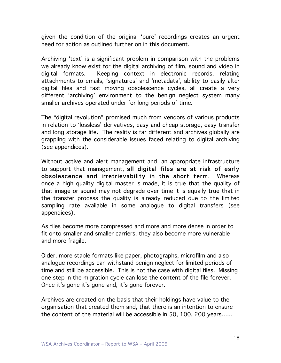given the condition of the original 'pure' recordings creates an urgent need for action as outlined further on in this document.

Archiving 'text' is a significant problem in comparison with the problems we already know exist for the digital archiving of film, sound and video in digital formats. Keeping context in electronic records, relating attachments to emails, 'signatures' and 'metadata', ability to easily alter digital files and fast moving obsolescence cycles, all create a very different 'archiving' environment to the benign neglect system many smaller archives operated under for long periods of time.

The "digital revolution" promised much from vendors of various products in relation to 'lossless' derivatives, easy and cheap storage, easy transfer and long storage life. The reality is far different and archives globally are grappling with the considerable issues faced relating to digital archiving (see appendices).

Without active and alert management and, an appropriate infrastructure to support that management, all digital files are at risk of early obsolescence and irretrievability in the short term. Whereas once a high quality digital master is made, it is true that the quality of that image or sound may not degrade over time it is equally true that in the transfer process the quality is already reduced due to the limited sampling rate available in some analogue to digital transfers (see appendices).

As files become more compressed and more and more dense in order to fit onto smaller and smaller carriers, they also become more vulnerable and more fragile.

Older, more stable formats like paper, photographs, microfilm and also analogue recordings can withstand benign neglect for limited periods of time and still be accessible. This is not the case with digital files. Missing one step in the migration cycle can lose the content of the file forever. Once it's gone it's gone and, it's gone forever.

Archives are created on the basis that their holdings have value to the organisation that created them and, that there is an intention to ensure the content of the material will be accessible in 50, 100, 200 years…...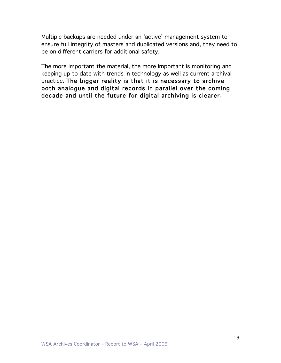Multiple backups are needed under an 'active' management system to ensure full integrity of masters and duplicated versions and, they need to be on different carriers for additional safety.

The more important the material, the more important is monitoring and keeping up to date with trends in technology as well as current archival practice. The bigger reality is that it is necessary to archive both analogue and digital records in parallel over the coming decade and until the future for digital archiving is clearer.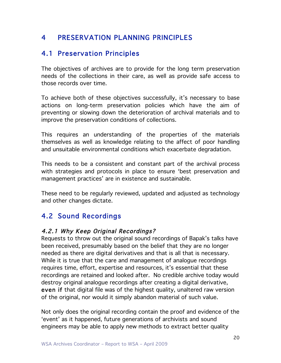### 4 PRESERVATION PLANNING PRINCIPLES

### 4.1 Preservation Principles

The objectives of archives are to provide for the long term preservation needs of the collections in their care, as well as provide safe access to those records over time.

To achieve both of these objectives successfully, it's necessary to base actions on long-term preservation policies which have the aim of preventing or slowing down the deterioration of archival materials and to improve the preservation conditions of collections.

This requires an understanding of the properties of the materials themselves as well as knowledge relating to the affect of poor handling and unsuitable environmental conditions which exacerbate degradation.

This needs to be a consistent and constant part of the archival process with strategies and protocols in place to ensure 'best preservation and management practices' are in existence and sustainable.

These need to be regularly reviewed, updated and adjusted as technology and other changes dictate.

### 4.2 Sound Recordings

#### 4.2.1 Why Keep Original Recordings?

Requests to throw out the original sound recordings of Bapak's talks have been received, presumably based on the belief that they are no longer needed as there are digital derivatives and that is all that is necessary. While it is true that the care and management of analogue recordings requires time, effort, expertise and resources, it's essential that these recordings are retained and looked after. No credible archive today would destroy original analogue recordings after creating a digital derivative, even if that digital file was of the highest quality, unaltered raw version of the original, nor would it simply abandon material of such value.

Not only does the original recording contain the proof and evidence of the 'event' as it happened, future generations of archivists and sound engineers may be able to apply new methods to extract better quality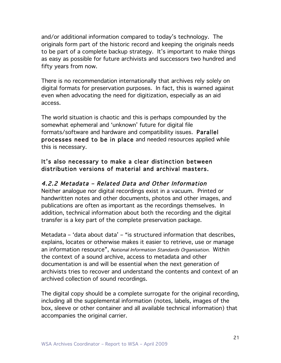and/or additional information compared to today's technology. The originals form part of the historic record and keeping the originals needs to be part of a complete backup strategy. It's important to make things as easy as possible for future archivists and successors two hundred and fifty years from now.

There is no recommendation internationally that archives rely solely on digital formats for preservation purposes. In fact, this is warned against even when advocating the need for digitization, especially as an aid access.

The world situation is chaotic and this is perhaps compounded by the somewhat ephemeral and 'unknown' future for digital file formats/software and hardware and compatibility issues. Parallel processes need to be in place and needed resources applied while this is necessary.

#### It's also necessary to make a clear distinction between distribution versions of material and archival masters.

### 4.2.2 Metadata – Related Data and Other Information

Neither analogue nor digital recordings exist in a vacuum. Printed or handwritten notes and other documents, photos and other images, and publications are often as important as the recordings themselves. In addition, technical information about both the recording and the digital transfer is a key part of the complete preservation package.

Metadata – 'data about data' – "is structured information that describes, explains, locates or otherwise makes it easier to retrieve, use or manage an information resource", National Information Standards Organisation. Within the context of a sound archive, access to metadata and other documentation is and will be essential when the next generation of archivists tries to recover and understand the contents and context of an archived collection of sound recordings.

The digital copy should be a complete surrogate for the original recording, including all the supplemental information (notes, labels, images of the box, sleeve or other container and all available technical information) that accompanies the original carrier.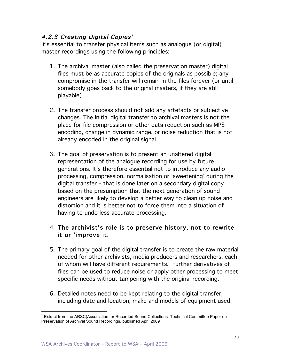### 4.2.3 Creating Digital Copies<sup>1</sup>

It's essential to transfer physical items such as analogue (or digital) master recordings using the following principles:

- 1. The archival master (also called the preservation master) digital files must be as accurate copies of the originals as possible; any compromise in the transfer will remain in the files forever (or until somebody goes back to the original masters, if they are still playable)
- 2. The transfer process should not add any artefacts or subjective changes. The initial digital transfer to archival masters is not the place for file compression or other data reduction such as MP3 encoding, change in dynamic range, or noise reduction that is not already encoded in the original signal.
- 3. The goal of preservation is to present an unaltered digital representation of the analogue recording for use by future generations. It's therefore essential not to introduce any audio processing, compression, normalisation or 'sweetening' during the digital transfer – that is done later on a secondary digital copy based on the presumption that the next generation of sound engineers are likely to develop a better way to clean up noise and distortion and it is better not to force them into a situation of having to undo less accurate processing.

#### 4. The archivist's role is to preserve history, not to rewrite it or 'improve it.

- 5. The primary goal of the digital transfer is to create the raw material needed for other archivists, media producers and researchers, each of whom will have different requirements. Further derivatives of files can be used to reduce noise or apply other processing to meet specific needs without tampering with the original recording.
- 6. Detailed notes need to be kept relating to the digital transfer, including date and location, make and models of equipment used,

 $1$  Extract from the ARSC(Association for Recorded Sound Collections Technical Committee Paper on Preservation of Archival Sound Recordings, published April 2009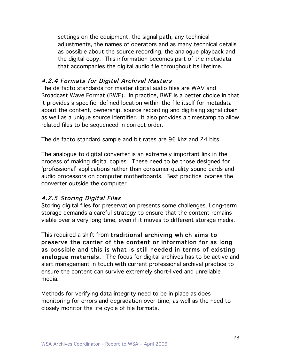settings on the equipment, the signal path, any technical adjustments, the names of operators and as many technical details as possible about the source recording, the analogue playback and the digital copy. This information becomes part of the metadata that accompanies the digital audio file throughout its lifetime.

#### 4.2.4 Formats for Digital Archival Masters

The de facto standards for master digital audio files are WAV and Broadcast Wave Format (BWF). In practice, BWF is a better choice in that it provides a specific, defined location within the file itself for metadata about the content, ownership, source recording and digitising signal chain as well as a unique source identifier. It also provides a timestamp to allow related files to be sequenced in correct order.

The de facto standard sample and bit rates are 96 khz and 24 bits.

The analogue to digital converter is an extremely important link in the process of making digital copies. These need to be those designed for 'professional' applications rather than consumer-quality sound cards and audio processors on computer motherboards. Best practice locates the converter outside the computer.

#### 4.2.5 Storing Digital Files

Storing digital files for preservation presents some challenges. Long-term storage demands a careful strategy to ensure that the content remains viable over a very long time, even if it moves to different storage media.

This required a shift from traditional archiving which aims to preserve the carrier of the content or information for as long as possible and this is what is still needed in terms of existing analogue materials. The focus for digital archives has to be active and alert management in touch with current professional archival practice to ensure the content can survive extremely short-lived and unreliable media.

Methods for verifying data integrity need to be in place as does monitoring for errors and degradation over time, as well as the need to closely monitor the life cycle of file formats.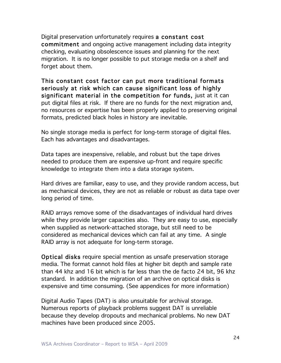Digital preservation unfortunately requires a constant cost commitment and ongoing active management including data integrity checking, evaluating obsolescence issues and planning for the next migration. It is no longer possible to put storage media on a shelf and forget about them.

This constant cost factor can put more traditional formats seriously at risk which can cause significant loss of highly significant material in the competition for funds, just at it can put digital files at risk. If there are no funds for the next migration and, no resources or expertise has been properly applied to preserving original formats, predicted black holes in history are inevitable.

No single storage media is perfect for long-term storage of digital files. Each has advantages and disadvantages.

Data tapes are inexpensive, reliable, and robust but the tape drives needed to produce them are expensive up-front and require specific knowledge to integrate them into a data storage system.

Hard drives are familiar, easy to use, and they provide random access, but as mechanical devices, they are not as reliable or robust as data tape over long period of time.

RAID arrays remove some of the disadvantages of individual hard drives while they provide larger capacities also. They are easy to use, especially when supplied as network-attached storage, but still need to be considered as mechanical devices which can fail at any time. A single RAID array is not adequate for long-term storage.

Optical disks require special mention as unsafe preservation storage media. The format cannot hold files at higher bit depth and sample rate than 44 khz and 16 bit which is far less than the de facto 24 bit, 96 khz standard. In addition the migration of an archive on optical disks is expensive and time consuming. (See appendices for more information)

Digital Audio Tapes (DAT) is also unsuitable for archival storage. Numerous reports of playback problems suggest DAT is unreliable because they develop dropouts and mechanical problems. No new DAT machines have been produced since 2005.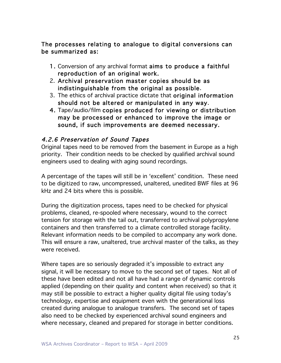The processes relating to analogue to digital conversions can be summarized as:

- 1. Conversion of any archival format aims to produce a faithful reproduction of an original work.
- 2. Archival preservation master copies should be as indistinguishable from the original as possible.
- 3. The ethics of archival practice dictate that original information should not be altered or manipulated in any way.
- 4. Tape/audio/film copies produced for viewing or distribution may be processed or enhanced to improve the image or sound, if such improvements are deemed necessary.

#### 4.2.6 Preservation of Sound Tapes

Original tapes need to be removed from the basement in Europe as a high priority. Their condition needs to be checked by qualified archival sound engineers used to dealing with aging sound recordings.

A percentage of the tapes will still be in 'excellent' condition. These need to be digitized to raw, uncompressed, unaltered, unedited BWF files at 96 kHz and 24 bits where this is possible.

During the digitization process, tapes need to be checked for physical problems, cleaned, re-spooled where necessary, wound to the correct tension for storage with the tail out, transferred to archival polypropylene containers and then transferred to a climate controlled storage facility. Relevant information needs to be compiled to accompany any work done. This will ensure a raw, unaltered, true archival master of the talks, as they were received.

Where tapes are so seriously degraded it's impossible to extract any signal, it will be necessary to move to the second set of tapes. Not all of these have been edited and not all have had a range of dynamic controls applied (depending on their quality and content when received) so that it may still be possible to extract a higher quality digital file using today's technology, expertise and equipment even with the generational loss created during analogue to analogue transfers. The second set of tapes also need to be checked by experienced archival sound engineers and where necessary, cleaned and prepared for storage in better conditions.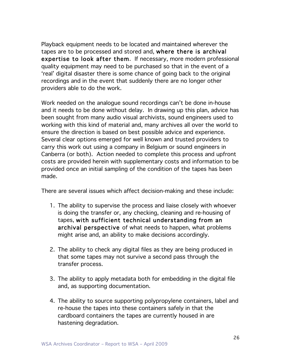Playback equipment needs to be located and maintained wherever the tapes are to be processed and stored and, where there is archival expertise to look after them. If necessary, more modern professional quality equipment may need to be purchased so that in the event of a 'real' digital disaster there is some chance of going back to the original recordings and in the event that suddenly there are no longer other providers able to do the work.

Work needed on the analogue sound recordings can't be done in-house and it needs to be done without delay. In drawing up this plan, advice has been sought from many audio visual archivists, sound engineers used to working with this kind of material and, many archives all over the world to ensure the direction is based on best possible advice and experience. Several clear options emerged for well known and trusted providers to carry this work out using a company in Belgium or sound engineers in Canberra (or both). Action needed to complete this process and upfront costs are provided herein with supplementary costs and information to be provided once an initial sampling of the condition of the tapes has been made.

There are several issues which affect decision-making and these include:

- 1. The ability to supervise the process and liaise closely with whoever is doing the transfer or, any checking, cleaning and re-housing of tapes, with sufficient technical understanding from an archival perspective of what needs to happen, what problems might arise and, an ability to make decisions accordingly.
- 2. The ability to check any digital files as they are being produced in that some tapes may not survive a second pass through the transfer process.
- 3. The ability to apply metadata both for embedding in the digital file and, as supporting documentation.
- 4. The ability to source supporting polypropylene containers, label and re-house the tapes into these containers safely in that the cardboard containers the tapes are currently housed in are hastening degradation.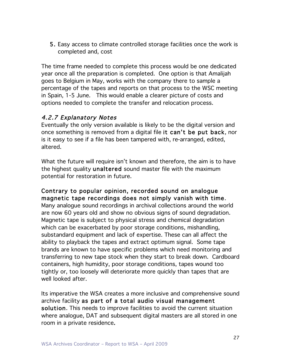5. Easy access to climate controlled storage facilities once the work is completed and, cost

The time frame needed to complete this process would be one dedicated year once all the preparation is completed. One option is that Amalijah goes to Belgium in May, works with the company there to sample a percentage of the tapes and reports on that process to the WSC meeting in Spain, 1-5 June. This would enable a clearer picture of costs and options needed to complete the transfer and relocation process.

#### 4.2.7 Explanatory Notes

Eventually the only version available is likely to be the digital version and once something is removed from a digital file it can't be put back, nor is it easy to see if a file has been tampered with, re-arranged, edited, altered.

What the future will require isn't known and therefore, the aim is to have the highest quality unaltered sound master file with the maximum potential for restoration in future.

#### Contrary to popular opinion, recorded sound on analogue magnetic tape recordings does not simply vanish with time.

Many analogue sound recordings in archival collections around the world are now 60 years old and show no obvious signs of sound degradation. Magnetic tape is subject to physical stress and chemical degradation which can be exacerbated by poor storage conditions, mishandling, substandard equipment and lack of expertise. These can all affect the ability to playback the tapes and extract optimum signal. Some tape brands are known to have specific problems which need monitoring and transferring to new tape stock when they start to break down. Cardboard containers, high humidity, poor storage conditions, tapes wound too tightly or, too loosely will deteriorate more quickly than tapes that are well looked after.

Its imperative the WSA creates a more inclusive and comprehensive sound archive facility as part of a total audio visual management solution. This needs to improve facilities to avoid the current situation where analogue, DAT and subsequent digital masters are all stored in one room in a private residence.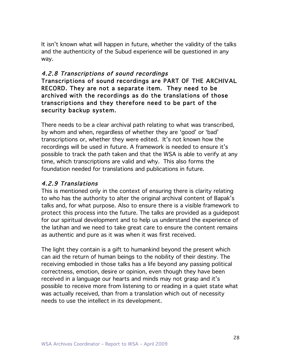It isn't known what will happen in future, whether the validity of the talks and the authenticity of the Subud experience will be questioned in any way.

#### 4.2.8 Transcriptions of sound recordings

Transcriptions of sound recordings are PART OF THE ARCHIVAL RECORD. They are not a separate item. They need to be archived with the recordings as do the translations of those transcriptions and they therefore need to be part of the security backup system.

There needs to be a clear archival path relating to what was transcribed, by whom and when, regardless of whether they are 'good' or 'bad' transcriptions or, whether they were edited. It's not known how the recordings will be used in future. A framework is needed to ensure it's possible to track the path taken and that the WSA is able to verify at any time, which transcriptions are valid and why. This also forms the foundation needed for translations and publications in future.

#### 4.2.9 Translations

This is mentioned only in the context of ensuring there is clarity relating to who has the authority to alter the original archival content of Bapak's talks and, for what purpose. Also to ensure there is a visible framework to protect this process into the future. The talks are provided as a guidepost for our spiritual development and to help us understand the experience of the latihan and we need to take great care to ensure the content remains as authentic and pure as it was when it was first received.

The light they contain is a gift to humankind beyond the present which can aid the return of human beings to the nobility of their destiny. The receiving embodied in those talks has a life beyond any passing political correctness, emotion, desire or opinion, even though they have been received in a language our hearts and minds may not grasp and it's possible to receive more from listening to or reading in a quiet state what was actually received, than from a translation which out of necessity needs to use the intellect in its development.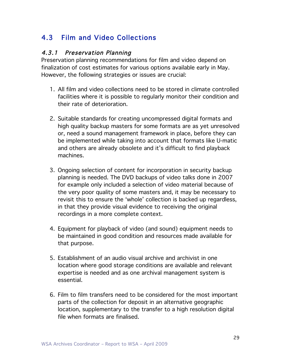### 4.3 Film and Video Collections

#### 4.3.1 Preservation Planning

Preservation planning recommendations for film and video depend on finalization of cost estimates for various options available early in May. However, the following strategies or issues are crucial:

- 1. All film and video collections need to be stored in climate controlled facilities where it is possible to regularly monitor their condition and their rate of deterioration.
- 2. Suitable standards for creating uncompressed digital formats and high quality backup masters for some formats are as yet unresolved or, need a sound management framework in place, before they can be implemented while taking into account that formats like U-matic and others are already obsolete and it's difficult to find playback machines.
- 3. Ongoing selection of content for incorporation in security backup planning is needed. The DVD backups of video talks done in 2007 for example only included a selection of video material because of the very poor quality of some masters and, it may be necessary to revisit this to ensure the 'whole' collection is backed up regardless, in that they provide visual evidence to receiving the original recordings in a more complete context.
- 4. Equipment for playback of video (and sound) equipment needs to be maintained in good condition and resources made available for that purpose.
- 5. Establishment of an audio visual archive and archivist in one location where good storage conditions are available and relevant expertise is needed and as one archival management system is essential.
- 6. Film to film transfers need to be considered for the most important parts of the collection for deposit in an alternative geographic location, supplementary to the transfer to a high resolution digital file when formats are finalised.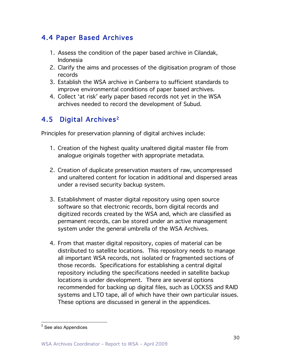### 4.4 Paper Based Archives

- 1. Assess the condition of the paper based archive in Cilandak, Indonesia
- 2. Clarify the aims and processes of the digitisation program of those records
- 3. Establish the WSA archive in Canberra to sufficient standards to improve environmental conditions of paper based archives.
- 4. Collect 'at risk' early paper based records not yet in the WSA archives needed to record the development of Subud.

### 4.5 Digital Archives2

Principles for preservation planning of digital archives include:

- 1. Creation of the highest quality unaltered digital master file from analogue originals together with appropriate metadata.
- 2. Creation of duplicate preservation masters of raw, uncompressed and unaltered content for location in additional and dispersed areas under a revised security backup system.
- 3. Establishment of master digital repository using open source software so that electronic records, born digital records and digitized records created by the WSA and, which are classified as permanent records, can be stored under an active management system under the general umbrella of the WSA Archives.
- 4. From that master digital repository, copies of material can be distributed to satellite locations. This repository needs to manage all important WSA records, not isolated or fragmented sections of those records. Specifications for establishing a central digital repository including the specifications needed in satellite backup locations is under development. There are several options recommended for backing up digital files, such as LOCKSS and RAID systems and LTO tape, all of which have their own particular issues. These options are discussed in general in the appendices.

<sup>2</sup> See also Appendices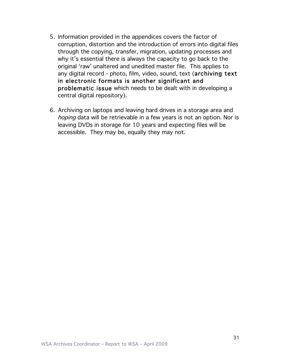- 5. Information provided in the appendices covers the factor of corruption, distortion and the introduction of errors into digital files through the copying, transfer, migration, updating processes and why it's essential there is always the capacity to go back to the original 'raw' unaltered and unedited master file. This applies to any digital record - photo, film, video, sound, text (archiving text in electronic formats is another significant and problematic issue which needs to be dealt with in developing a central digital repository).
- 6. Archiving on laptops and leaving hard drives in a storage area and hoping data will be retrievable in a few years is not an option. Nor is leaving DVDs in storage for 10 years and expecting files will be accessible. They may be, equally they may not.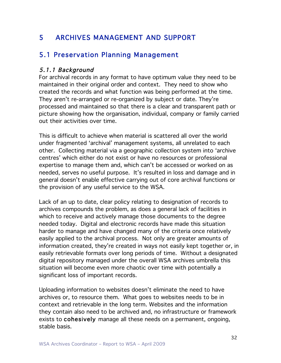### 5 ARCHIVES MANAGEMENT AND SUPPORT

### 5.1 Preservation Planning Management

#### 5.1.1 Background

For archival records in any format to have optimum value they need to be maintained in their original order and context. They need to show who created the records and what function was being performed at the time. They aren't re-arranged or re-organized by subject or date. They're processed and maintained so that there is a clear and transparent path or picture showing how the organisation, individual, company or family carried out their activities over time.

This is difficult to achieve when material is scattered all over the world under fragmented 'archival' management systems, all unrelated to each other. Collecting material via a geographic collection system into 'archive centres' which either do not exist or have no resources or professional expertise to manage them and, which can't be accessed or worked on as needed, serves no useful purpose. It's resulted in loss and damage and in general doesn't enable effective carrying out of core archival functions or the provision of any useful service to the WSA.

Lack of an up to date, clear policy relating to designation of records to archives compounds the problem, as does a general lack of facilities in which to receive and actively manage those documents to the degree needed today. Digital and electronic records have made this situation harder to manage and have changed many of the criteria once relatively easily applied to the archival process. Not only are greater amounts of information created, they're created in ways not easily kept together or, in easily retrievable formats over long periods of time. Without a designated digital repository managed under the overall WSA archives umbrella this situation will become even more chaotic over time with potentially a significant loss of important records.

Uploading information to websites doesn't eliminate the need to have archives or, to resource them. What goes to websites needs to be in context and retrievable in the long term. Websites and the information they contain also need to be archived and, no infrastructure or framework exists to cohesively manage all these needs on a permanent, ongoing, stable basis.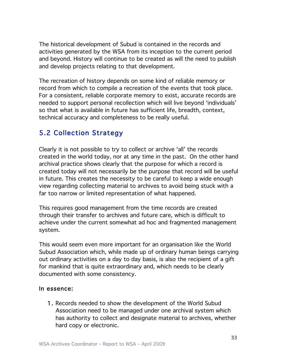The historical development of Subud is contained in the records and activities generated by the WSA from its inception to the current period and beyond. History will continue to be created as will the need to publish and develop projects relating to that development.

The recreation of history depends on some kind of reliable memory or record from which to compile a recreation of the events that took place. For a consistent, reliable corporate memory to exist, accurate records are needed to support personal recollection which will live beyond 'individuals' so that what is available in future has sufficient life, breadth, context, technical accuracy and completeness to be really useful.

### 5.2 Collection Strategy

Clearly it is not possible to try to collect or archive 'all' the records created in the world today, nor at any time in the past. On the other hand archival practice shows clearly that the purpose for which a record is created today will not necessarily be the purpose that record will be useful in future. This creates the necessity to be careful to keep a wide enough view regarding collecting material to archives to avoid being stuck with a far too narrow or limited representation of what happened.

This requires good management from the time records are created through their transfer to archives and future care, which is difficult to achieve under the current somewhat ad hoc and fragmented management system.

This would seem even more important for an organisation like the World Subud Association which, while made up of ordinary human beings carrying out ordinary activities on a day to day basis, is also the recipient of a gift for mankind that is quite extraordinary and, which needs to be clearly documented with some consistency.

#### In essence:

1. Records needed to show the development of the World Subud Association need to be managed under one archival system which has authority to collect and designate material to archives, whether hard copy or electronic.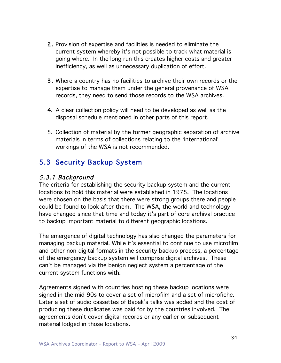- 2. Provision of expertise and facilities is needed to eliminate the current system whereby it's not possible to track what material is going where. In the long run this creates higher costs and greater inefficiency, as well as unnecessary duplication of effort.
- 3. Where a country has no facilities to archive their own records or the expertise to manage them under the general provenance of WSA records, they need to send those records to the WSA archives.
- 4. A clear collection policy will need to be developed as well as the disposal schedule mentioned in other parts of this report.
- 5. Collection of material by the former geographic separation of archive materials in terms of collections relating to the 'international' workings of the WSA is not recommended.

### 5.3 Security Backup System

#### 5.3.1 Background

The criteria for establishing the security backup system and the current locations to hold this material were established in 1975. The locations were chosen on the basis that there were strong groups there and people could be found to look after them. The WSA, the world and technology have changed since that time and today it's part of core archival practice to backup important material to different geographic locations.

The emergence of digital technology has also changed the parameters for managing backup material. While it's essential to continue to use microfilm and other non-digital formats in the security backup process, a percentage of the emergency backup system will comprise digital archives. These can't be managed via the benign neglect system a percentage of the current system functions with.

Agreements signed with countries hosting these backup locations were signed in the mid-90s to cover a set of microfilm and a set of microfiche. Later a set of audio cassettes of Bapak's talks was added and the cost of producing these duplicates was paid for by the countries involved. The agreements don't cover digital records or any earlier or subsequent material lodged in those locations.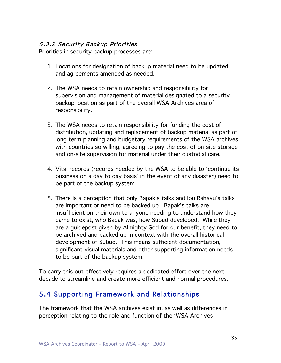#### 5.3.2 Security Backup Priorities

Priorities in security backup processes are:

- 1. Locations for designation of backup material need to be updated and agreements amended as needed.
- 2. The WSA needs to retain ownership and responsibility for supervision and management of material designated to a security backup location as part of the overall WSA Archives area of responsibility.
- 3. The WSA needs to retain responsibility for funding the cost of distribution, updating and replacement of backup material as part of long term planning and budgetary requirements of the WSA archives with countries so willing, agreeing to pay the cost of on-site storage and on-site supervision for material under their custodial care.
- 4. Vital records (records needed by the WSA to be able to 'continue its business on a day to day basis' in the event of any disaster) need to be part of the backup system.
- 5. There is a perception that only Bapak's talks and Ibu Rahayu's talks are important or need to be backed up. Bapak's talks are insufficient on their own to anyone needing to understand how they came to exist, who Bapak was, how Subud developed. While they are a guidepost given by Almighty God for our benefit, they need to be archived and backed up in context with the overall historical development of Subud. This means sufficient documentation, significant visual materials and other supporting information needs to be part of the backup system.

To carry this out effectively requires a dedicated effort over the next decade to streamline and create more efficient and normal procedures.

### 5.4 Supporting Framework and Relationships

The framework that the WSA archives exist in, as well as differences in perception relating to the role and function of the 'WSA Archives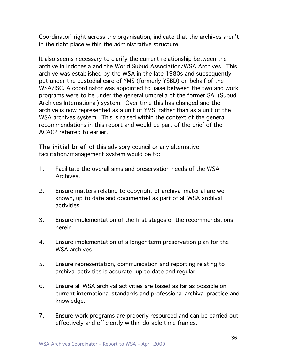Coordinator' right across the organisation, indicate that the archives aren't in the right place within the administrative structure.

It also seems necessary to clarify the current relationship between the archive in Indonesia and the World Subud Association/WSA Archives. This archive was established by the WSA in the late 1980s and subsequently put under the custodial care of YMS (formerly YSBD) on behalf of the WSA/ISC. A coordinator was appointed to liaise between the two and work programs were to be under the general umbrella of the former SAI (Subud Archives International) system. Over time this has changed and the archive is now represented as a unit of YMS, rather than as a unit of the WSA archives system. This is raised within the context of the general recommendations in this report and would be part of the brief of the ACACP referred to earlier.

The initial brief of this advisory council or any alternative facilitation/management system would be to:

- 1. Facilitate the overall aims and preservation needs of the WSA Archives.
- 2. Ensure matters relating to copyright of archival material are well known, up to date and documented as part of all WSA archival activities.
- 3. Ensure implementation of the first stages of the recommendations herein
- 4. Ensure implementation of a longer term preservation plan for the WSA archives.
- 5. Ensure representation, communication and reporting relating to archival activities is accurate, up to date and regular.
- 6. Ensure all WSA archival activities are based as far as possible on current international standards and professional archival practice and knowledge.
- 7. Ensure work programs are properly resourced and can be carried out effectively and efficiently within do-able time frames.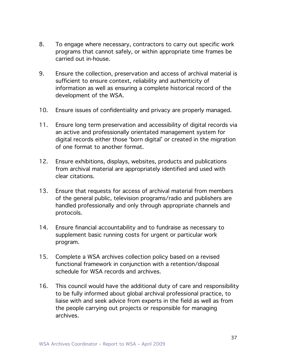- 8. To engage where necessary, contractors to carry out specific work programs that cannot safely, or within appropriate time frames be carried out in-house.
- 9. Ensure the collection, preservation and access of archival material is sufficient to ensure context, reliability and authenticity of information as well as ensuring a complete historical record of the development of the WSA.
- 10. Ensure issues of confidentiality and privacy are properly managed.
- 11. Ensure long term preservation and accessibility of digital records via an active and professionally orientated management system for digital records either those 'born digital' or created in the migration of one format to another format.
- 12. Ensure exhibitions, displays, websites, products and publications from archival material are appropriately identified and used with clear citations.
- 13. Ensure that requests for access of archival material from members of the general public, television programs/radio and publishers are handled professionally and only through appropriate channels and protocols.
- 14. Ensure financial accountability and to fundraise as necessary to supplement basic running costs for urgent or particular work program.
- 15. Complete a WSA archives collection policy based on a revised functional framework in conjunction with a retention/disposal schedule for WSA records and archives.
- 16. This council would have the additional duty of care and responsibility to be fully informed about global archival professional practice, to liaise with and seek advice from experts in the field as well as from the people carrying out projects or responsible for managing archives.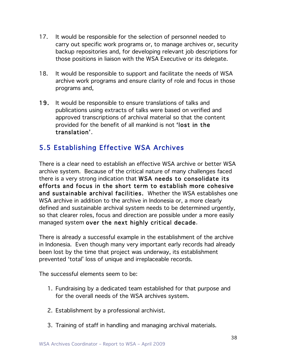- 17. It would be responsible for the selection of personnel needed to carry out specific work programs or, to manage archives or, security backup repositories and, for developing relevant job descriptions for those positions in liaison with the WSA Executive or its delegate.
- 18. It would be responsible to support and facilitate the needs of WSA archive work programs and ensure clarity of role and focus in those programs and,
- 19. It would be responsible to ensure translations of talks and publications using extracts of talks were based on verified and approved transcriptions of archival material so that the content provided for the benefit of all mankind is not 'lost in the translation'.

### 5.5 Establishing Effective WSA Archives

There is a clear need to establish an effective WSA archive or better WSA archive system. Because of the critical nature of many challenges faced there is a very strong indication that WSA needs to consolidate its efforts and focus in the short term to establish more cohesive and sustainable archival facilities. Whether the WSA establishes one WSA archive in addition to the archive in Indonesia or, a more clearly defined and sustainable archival system needs to be determined urgently, so that clearer roles, focus and direction are possible under a more easily managed system over the next highly critical decade.

There is already a successful example in the establishment of the archive in Indonesia. Even though many very important early records had already been lost by the time that project was underway, its establishment prevented 'total' loss of unique and irreplaceable records.

The successful elements seem to be:

- 1. Fundraising by a dedicated team established for that purpose and for the overall needs of the WSA archives system.
- 2. Establishment by a professional archivist.
- 3. Training of staff in handling and managing archival materials.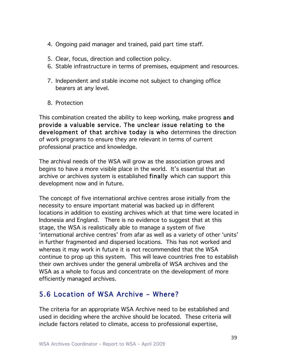- 4. Ongoing paid manager and trained, paid part time staff.
- 5. Clear, focus, direction and collection policy.
- 6. Stable infrastructure in terms of premises, equipment and resources.
- 7. Independent and stable income not subject to changing office bearers at any level.
- 8. Protection

This combination created the ability to keep working, make progress and provide a valuable service. The unclear issue relating to the development of that archive today is who determines the direction of work programs to ensure they are relevant in terms of current professional practice and knowledge.

The archival needs of the WSA will grow as the association grows and begins to have a more visible place in the world. It's essential that an archive or archives system is established finally which can support this development now and in future.

The concept of five international archive centres arose initially from the necessity to ensure important material was backed up in different locations in addition to existing archives which at that time were located in Indonesia and England. There is no evidence to suggest that at this stage, the WSA is realistically able to manage a system of five 'international archive centres' from afar as well as a variety of other 'units' in further fragmented and dispersed locations. This has not worked and whereas it may work in future it is not recommended that the WSA continue to prop up this system. This will leave countries free to establish their own archives under the general umbrella of WSA archives and the WSA as a whole to focus and concentrate on the development of more efficiently managed archives.

### 5.6 Location of WSA Archive – Where?

The criteria for an appropriate WSA Archive need to be established and used in deciding where the archive should be located. These criteria will include factors related to climate, access to professional expertise,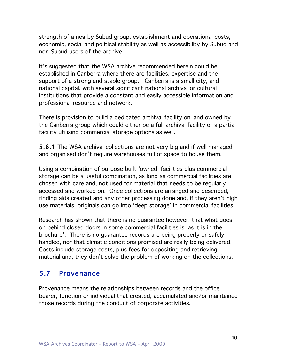strength of a nearby Subud group, establishment and operational costs, economic, social and political stability as well as accessibility by Subud and non-Subud users of the archive.

It's suggested that the WSA archive recommended herein could be established in Canberra where there are facilities, expertise and the support of a strong and stable group. Canberra is a small city, and national capital, with several significant national archival or cultural institutions that provide a constant and easily accessible information and professional resource and network.

There is provision to build a dedicated archival facility on land owned by the Canberra group which could either be a full archival facility or a partial facility utilising commercial storage options as well.

5.6.1 The WSA archival collections are not very big and if well managed and organised don't require warehouses full of space to house them.

Using a combination of purpose built 'owned' facilities plus commercial storage can be a useful combination, as long as commercial facilities are chosen with care and, not used for material that needs to be regularly accessed and worked on. Once collections are arranged and described, finding aids created and any other processing done and, if they aren't high use materials, originals can go into 'deep storage' in commercial facilities.

Research has shown that there is no guarantee however, that what goes on behind closed doors in some commercial facilities is 'as it is in the brochure'. There is no guarantee records are being properly or safely handled, nor that climatic conditions promised are really being delivered. Costs include storage costs, plus fees for depositing and retrieving material and, they don't solve the problem of working on the collections.

### 5.7 Provenance

Provenance means the relationships between records and the office bearer, function or individual that created, accumulated and/or maintained those records during the conduct of corporate activities.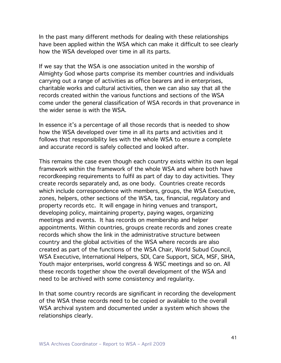In the past many different methods for dealing with these relationships have been applied within the WSA which can make it difficult to see clearly how the WSA developed over time in all its parts.

If we say that the WSA is one association united in the worship of Almighty God whose parts comprise its member countries and individuals carrying out a range of activities as office bearers and in enterprises, charitable works and cultural activities, then we can also say that all the records created within the various functions and sections of the WSA come under the general classification of WSA records in that provenance in the wider sense is with the WSA.

In essence it's a percentage of all those records that is needed to show how the WSA developed over time in all its parts and activities and it follows that responsibility lies with the whole WSA to ensure a complete and accurate record is safely collected and looked after.

This remains the case even though each country exists within its own legal framework within the framework of the whole WSA and where both have recordkeeping requirements to fulfil as part of day to day activities. They create records separately and, as one body. Countries create records which include correspondence with members, groups, the WSA Executive, zones, helpers, other sections of the WSA, tax, financial, regulatory and property records etc. It will engage in hiring venues and transport, developing policy, maintaining property, paying wages, organizing meetings and events. It has records on membership and helper appointments. Within countries, groups create records and zones create records which show the link in the administrative structure between country and the global activities of the WSA where records are also created as part of the functions of the WSA Chair, World Subud Council, WSA Executive, International Helpers, SDI, Care Support, SICA, MSF, SIHA, Youth major enterprises, world congress & WSC meetings and so on. All these records together show the overall development of the WSA and need to be archived with some consistency and regularity.

In that some country records are significant in recording the development of the WSA these records need to be copied or available to the overall WSA archival system and documented under a system which shows the relationships clearly.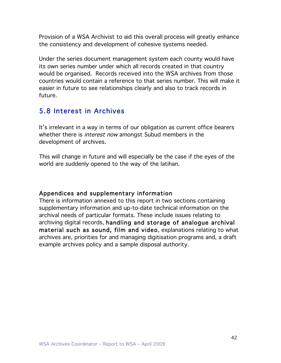Provision of a WSA Archivist to aid this overall process will greatly enhance the consistency and development of cohesive systems needed.

Under the series document management system each county would have its own series number under which all records created in that country would be organised. Records received into the WSA archives from those countries would contain a reference to that series number. This will make it easier in future to see relationships clearly and also to track records in future.

### 5.8 Interest in Archives

It's irrelevant in a way in terms of our obligation as current office bearers whether there is *interest now* amongst Subud members in the development of archives.

This will change in future and will especially be the case if the eyes of the world are suddenly opened to the way of the latihan.

#### Appendices and supplementary information

There is information annexed to this report in two sections containing supplementary information and up-to-date technical information on the archival needs of particular formats. These include issues relating to archiving digital records, handling and storage of analogue archival material such as sound, film and video, explanations relating to what archives are, priorities for and managing digitisation programs and, a draft example archives policy and a sample disposal authority.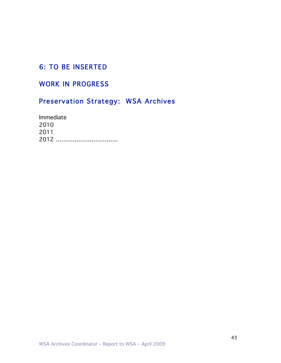### 6: TO BE INSERTED

### WORK IN PROGRESS

## Preservation Strategy: WSA Archives

Immediate 2010 2011 2012 ……………………………